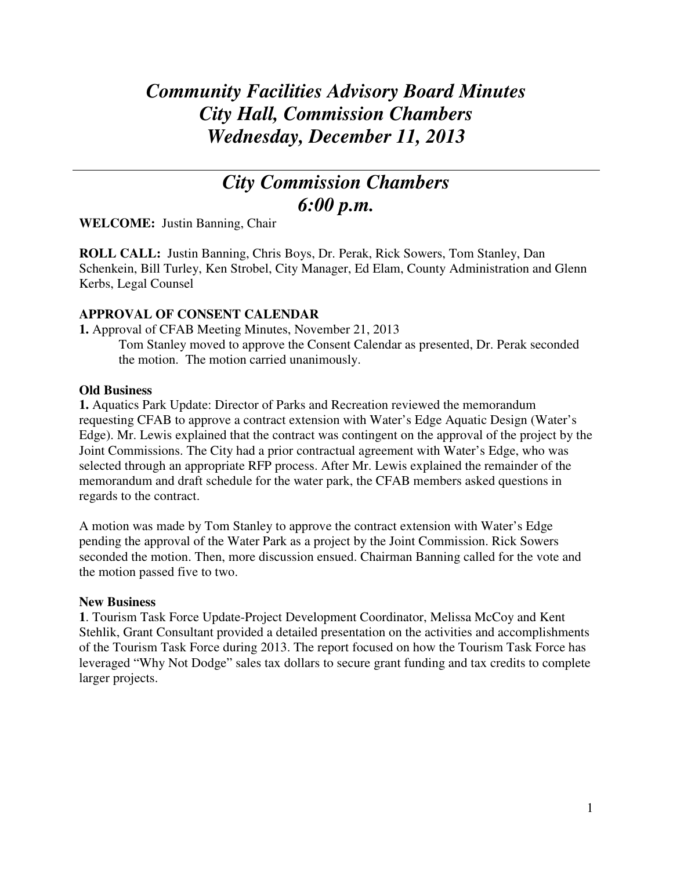# *Community Facilities Advisory Board Minutes City Hall, Commission Chambers Wednesday, December 11, 2013*

## *City Commission Chambers 6:00 p.m.*

**WELCOME:** Justin Banning, Chair

**ROLL CALL:** Justin Banning, Chris Boys, Dr. Perak, Rick Sowers, Tom Stanley, Dan Schenkein, Bill Turley, Ken Strobel, City Manager, Ed Elam, County Administration and Glenn Kerbs, Legal Counsel

### **APPROVAL OF CONSENT CALENDAR**

**1.** Approval of CFAB Meeting Minutes, November 21, 2013 Tom Stanley moved to approve the Consent Calendar as presented, Dr. Perak seconded the motion. The motion carried unanimously.

#### **Old Business**

**1.** Aquatics Park Update: Director of Parks and Recreation reviewed the memorandum requesting CFAB to approve a contract extension with Water's Edge Aquatic Design (Water's Edge). Mr. Lewis explained that the contract was contingent on the approval of the project by the Joint Commissions. The City had a prior contractual agreement with Water's Edge, who was selected through an appropriate RFP process. After Mr. Lewis explained the remainder of the memorandum and draft schedule for the water park, the CFAB members asked questions in regards to the contract.

A motion was made by Tom Stanley to approve the contract extension with Water's Edge pending the approval of the Water Park as a project by the Joint Commission. Rick Sowers seconded the motion. Then, more discussion ensued. Chairman Banning called for the vote and the motion passed five to two.

#### **New Business**

**1**. Tourism Task Force Update-Project Development Coordinator, Melissa McCoy and Kent Stehlik, Grant Consultant provided a detailed presentation on the activities and accomplishments of the Tourism Task Force during 2013. The report focused on how the Tourism Task Force has leveraged "Why Not Dodge" sales tax dollars to secure grant funding and tax credits to complete larger projects.